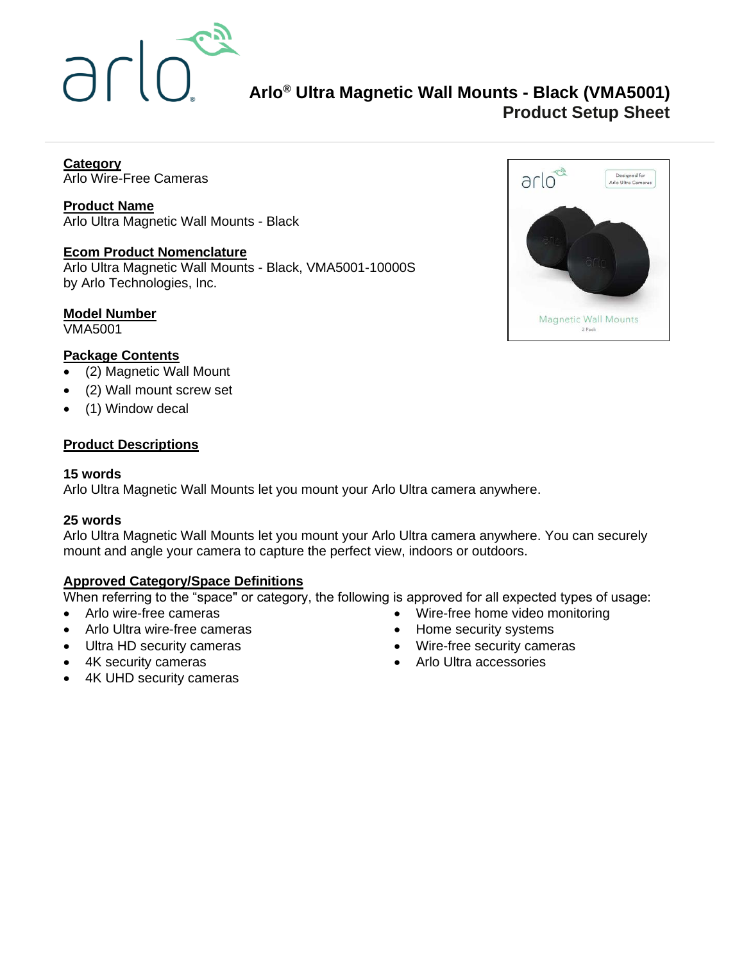

# **Arlo® Ultra Magnetic Wall Mounts - Black (VMA5001) Product Setup Sheet**

**Category** Arlo Wire-Free Cameras

**Product Name** Arlo Ultra Magnetic Wall Mounts - Black

# **Ecom Product Nomenclature**

Arlo Ultra Magnetic Wall Mounts - Black, VMA5001-10000S by Arlo Technologies, Inc.

# **Model Number**

VMA5001

# **Package Contents**

- (2) Magnetic Wall Mount
- (2) Wall mount screw set
- (1) Window decal

# **Product Descriptions**

#### **15 words**

Arlo Ultra Magnetic Wall Mounts let you mount your Arlo Ultra camera anywhere.

# **25 words**

Arlo Ultra Magnetic Wall Mounts let you mount your Arlo Ultra camera anywhere. You can securely mount and angle your camera to capture the perfect view, indoors or outdoors.

# **Approved Category/Space Definitions**

When referring to the "space" or category, the following is approved for all expected types of usage:

- Arlo wire-free cameras
- Arlo Ultra wire-free cameras
- Ultra HD security cameras
- 4K security cameras
- 4K UHD security cameras
- Wire-free home video monitoring
- Home security systems
- Wire-free security cameras
- Arlo Ultra accessories